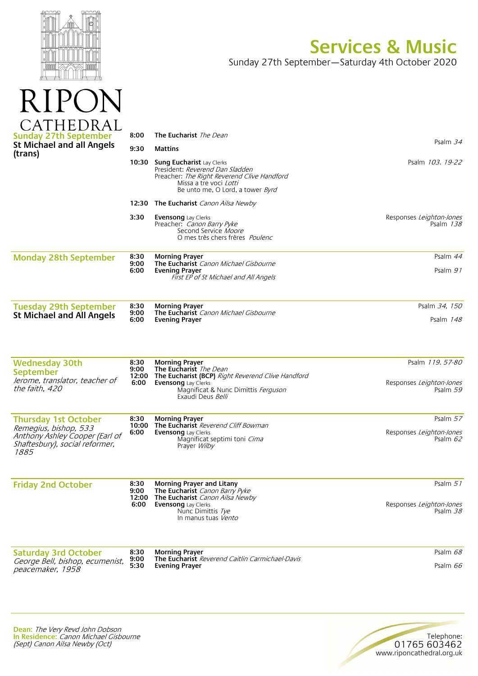

R

## **Services & Music**

Sunday 27th September—Saturday 4th October 2020

| <b>Sunday 27th September</b><br><b>St Michael and all Angels</b><br>(trans)                       | 8:00                          | <b>The Eucharist</b> The Dean                                                                                                                                                                         |                                                         |
|---------------------------------------------------------------------------------------------------|-------------------------------|-------------------------------------------------------------------------------------------------------------------------------------------------------------------------------------------------------|---------------------------------------------------------|
|                                                                                                   | 9:30                          | <b>Mattins</b>                                                                                                                                                                                        | Psalm 34                                                |
|                                                                                                   | 10:30                         | Sung Eucharist Lay Clerks<br>President: Reverend Dan Sladden<br>Preacher: The Right Reverend Clive Handford<br>Missa a tre voci <i>Lotti</i><br>Be unto me, O Lord, a tower <i>Byrd</i>               | Psalm 103. 19-22                                        |
|                                                                                                   | 12:30                         | The Eucharist Canon Ailsa Newby                                                                                                                                                                       |                                                         |
|                                                                                                   | 3:30                          | <b>Evensong</b> Lay Clerks<br>Preacher: Canon Barry Pyke<br>Second Service Moore<br>O mes très chers frères <i>Poulenc</i>                                                                            | Responses Leighton-Jones<br>Psalm 138                   |
| <b>Monday 28th September</b>                                                                      | 8:30<br>9:00<br>6:00          | <b>Morning Prayer</b><br>The Eucharist Canon Michael Gisbourne<br><b>Evening Prayer</b><br>First EP of St Michael and All Angels                                                                      | Psalm 44<br>Psalm 91                                    |
| <b>Tuesday 29th September</b>                                                                     | 8:30                          | <b>Morning Prayer</b>                                                                                                                                                                                 | Psalm 34, 150                                           |
| <b>St Michael and All Angels</b>                                                                  | 9:00<br>6:00                  | The Eucharist Canon Michael Gisbourne<br><b>Evening Prayer</b>                                                                                                                                        | Psalm 148                                               |
| <b>Wednesday 30th</b><br>September<br>Jerome, translator, teacher of<br>the faith, 420            | 8:30<br>9:00<br>12:00<br>6:00 | <b>Morning Prayer</b><br>The Eucharist The Dean<br><b>The Eucharist (BCP)</b> Right Reverend Clive Handford<br><b>Evensong</b> Lay Clerks<br>Magnificat & Nunc Dimittis Ferguson<br>Exaudi Deus Belli | Psalm 119.57-80<br>Responses Leighton-Jones<br>Psalm 59 |
| <b>Thursday 1st October</b>                                                                       | 8:30                          | <b>Morning Prayer</b>                                                                                                                                                                                 | Psalm 57                                                |
| Remegius, bishop, 533<br>Anthony Ashley Cooper (Earl of<br>Shaftesbury), social reformer,<br>1885 | 10:00<br>6:00                 | The Eucharist Reverend Cliff Bowman<br><b>Evensong</b> Lay Clerks<br>Magnificat septimi toni Cima<br>Prayer <i>Wilby</i>                                                                              | Responses Leighton-Jones<br>Psalm $62$                  |
| <b>Friday 2nd October</b>                                                                         | 8:30<br>9:00                  | <b>Morning Prayer and Litany</b><br>The Eucharist Canon Barry Pyke                                                                                                                                    | Psalm 51                                                |
|                                                                                                   | 6:00                          | 12:00 The Eucharist Canon Ailsa Newby<br>Evensong Lay Clerks<br>Nunc Dimittis Tye<br>In manus tuas Vento                                                                                              | Responses Leighton-Jones<br>Psalm 38                    |
| <b>Saturday 3rd October</b>                                                                       | 8:30<br>9:00                  | <b>Morning Prayer</b><br><b>The Eucharist</b> Reverend Caitlin Carmichael-Davis                                                                                                                       | Psalm 68                                                |
| George Bell, bishop, ecumenist,<br>peacemaker, 1958                                               | 5:30                          | Evening Prayer                                                                                                                                                                                        | Psalm 66                                                |
|                                                                                                   |                               |                                                                                                                                                                                                       |                                                         |